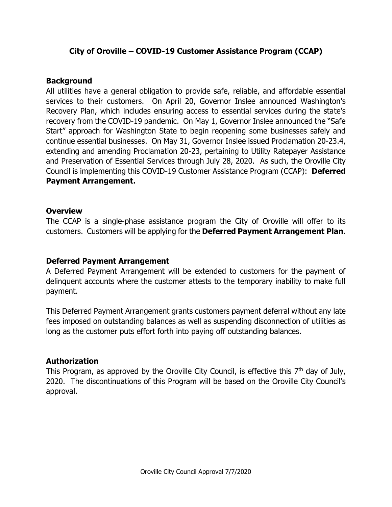# **City of Oroville – COVID-19 Customer Assistance Program (CCAP)**

## **Background**

All utilities have a general obligation to provide safe, reliable, and affordable essential services to their customers. On April 20, Governor Inslee announced Washington's Recovery Plan, which includes ensuring access to essential services during the state's recovery from the COVID-19 pandemic. On May 1, Governor Inslee announced the "Safe Start" approach for Washington State to begin reopening some businesses safely and continue essential businesses. On May 31, Governor Inslee issued Proclamation 20-23.4, extending and amending Proclamation 20-23, pertaining to Utility Ratepayer Assistance and Preservation of Essential Services through July 28, 2020. As such, the Oroville City Council is implementing this COVID-19 Customer Assistance Program (CCAP): **Deferred Payment Arrangement.**

## **Overview**

The CCAP is a single-phase assistance program the City of Oroville will offer to its customers. Customers will be applying for the **Deferred Payment Arrangement Plan**.

## **Deferred Payment Arrangement**

A Deferred Payment Arrangement will be extended to customers for the payment of delinquent accounts where the customer attests to the temporary inability to make full payment.

This Deferred Payment Arrangement grants customers payment deferral without any late fees imposed on outstanding balances as well as suspending disconnection of utilities as long as the customer puts effort forth into paying off outstanding balances.

#### **Authorization**

This Program, as approved by the Oroville City Council, is effective this  $7<sup>th</sup>$  day of July, 2020. The discontinuations of this Program will be based on the Oroville City Council's approval.